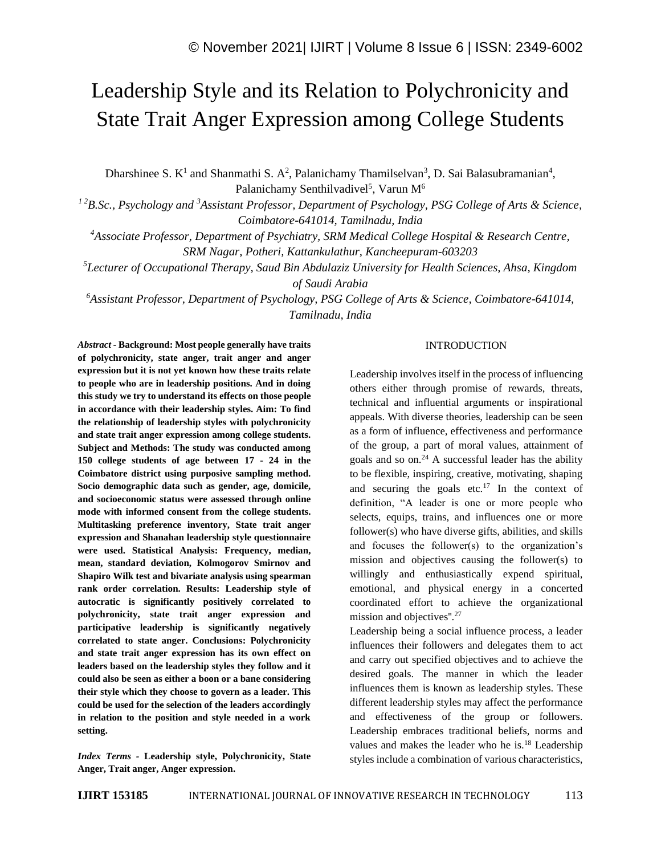# Leadership Style and its Relation to Polychronicity and State Trait Anger Expression among College Students

Dharshinee S.  $K^1$  and Shanmathi S. A<sup>2</sup>, Palanichamy Thamilselvan<sup>3</sup>, D. Sai Balasubramanian<sup>4</sup>, Palanichamy Senthilvadivel<sup>5</sup>, Varun M<sup>6</sup>

*<sup>1</sup> <sup>2</sup>B.Sc., Psychology and <sup>3</sup>Assistant Professor, Department of Psychology, PSG College of Arts & Science, Coimbatore-641014, Tamilnadu, India*

*<sup>4</sup>Associate Professor, Department of Psychiatry, SRM Medical College Hospital & Research Centre, SRM Nagar, Potheri, Kattankulathur, Kancheepuram-603203*

*<sup>5</sup>Lecturer of Occupational Therapy, Saud Bin Abdulaziz University for Health Sciences, Ahsa, Kingdom of Saudi Arabia*

*<sup>6</sup>Assistant Professor, Department of Psychology, PSG College of Arts & Science, Coimbatore-641014, Tamilnadu, India*

*Abstract -* **Background: Most people generally have traits of polychronicity, state anger, trait anger and anger expression but it is not yet known how these traits relate to people who are in leadership positions. And in doing this study we try to understand its effects on those people in accordance with their leadership styles. Aim: To find the relationship of leadership styles with polychronicity and state trait anger expression among college students. Subject and Methods: The study was conducted among 150 college students of age between 17 - 24 in the Coimbatore district using purposive sampling method. Socio demographic data such as gender, age, domicile, and socioeconomic status were assessed through online mode with informed consent from the college students. Multitasking preference inventory, State trait anger expression and Shanahan leadership style questionnaire were used. Statistical Analysis: Frequency, median, mean, standard deviation, Kolmogorov Smirnov and Shapiro Wilk test and bivariate analysis using spearman rank order correlation. Results: Leadership style of autocratic is significantly positively correlated to polychronicity, state trait anger expression and participative leadership is significantly negatively correlated to state anger. Conclusions: Polychronicity and state trait anger expression has its own effect on leaders based on the leadership styles they follow and it could also be seen as either a boon or a bane considering their style which they choose to govern as a leader. This could be used for the selection of the leaders accordingly in relation to the position and style needed in a work setting.**

*Index Terms -* **Leadership style, Polychronicity, State Anger, Trait anger, Anger expression.**

## INTRODUCTION

Leadership involves itself in the process of influencing others either through promise of rewards, threats, technical and influential arguments or inspirational appeals. With diverse theories, leadership can be seen as a form of influence, effectiveness and performance of the group, a part of moral values, attainment of goals and so on. $^{24}$  A successful leader has the ability to be flexible, inspiring, creative, motivating, shaping and securing the goals etc.<sup>17</sup> In the context of definition, "A leader is one or more people who selects, equips, trains, and influences one or more follower(s) who have diverse gifts, abilities, and skills and focuses the follower(s) to the organization's mission and objectives causing the follower(s) to willingly and enthusiastically expend spiritual, emotional, and physical energy in a concerted coordinated effort to achieve the organizational mission and objectives".<sup>27</sup>

Leadership being a social influence process, a leader influences their followers and delegates them to act and carry out specified objectives and to achieve the desired goals. The manner in which the leader influences them is known as leadership styles. These different leadership styles may affect the performance and effectiveness of the group or followers. Leadership embraces traditional beliefs, norms and values and makes the leader who he is.<sup>18</sup> Leadership styles include a combination of various characteristics,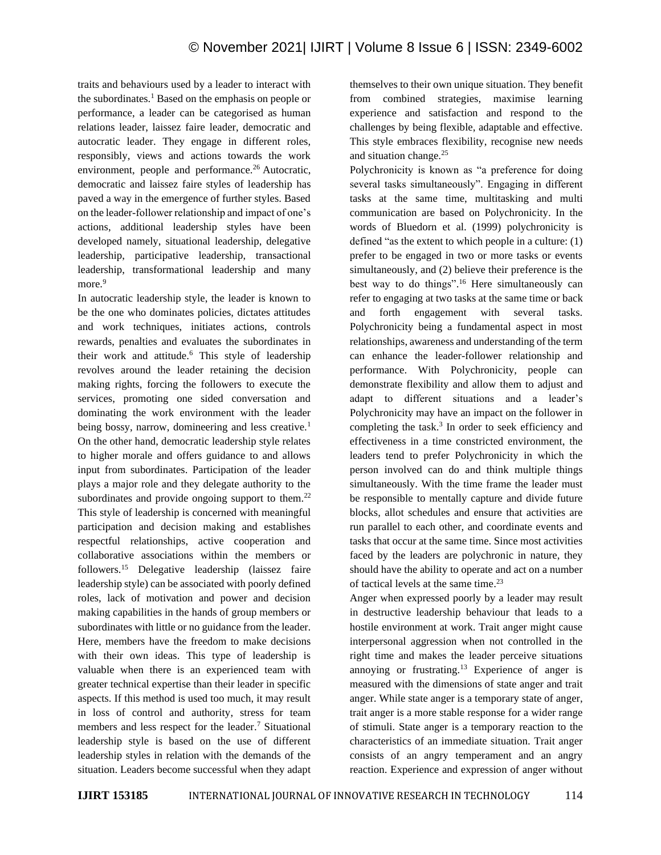traits and behaviours used by a leader to interact with the subordinates.<sup>1</sup> Based on the emphasis on people or performance, a leader can be categorised as human relations leader, laissez faire leader, democratic and autocratic leader. They engage in different roles, responsibly, views and actions towards the work environment, people and performance.<sup>26</sup> Autocratic, democratic and laissez faire styles of leadership has paved a way in the emergence of further styles. Based on the leader-follower relationship and impact of one's actions, additional leadership styles have been developed namely, situational leadership, delegative leadership, participative leadership, transactional leadership, transformational leadership and many more.<sup>9</sup>

In autocratic leadership style, the leader is known to be the one who dominates policies, dictates attitudes and work techniques, initiates actions, controls rewards, penalties and evaluates the subordinates in their work and attitude.<sup>6</sup> This style of leadership revolves around the leader retaining the decision making rights, forcing the followers to execute the services, promoting one sided conversation and dominating the work environment with the leader being bossy, narrow, domineering and less creative.<sup>1</sup> On the other hand, democratic leadership style relates to higher morale and offers guidance to and allows input from subordinates. Participation of the leader plays a major role and they delegate authority to the subordinates and provide ongoing support to them. $^{22}$ This style of leadership is concerned with meaningful participation and decision making and establishes respectful relationships, active cooperation and collaborative associations within the members or followers.<sup>15</sup> Delegative leadership (laissez faire leadership style) can be associated with poorly defined roles, lack of motivation and power and decision making capabilities in the hands of group members or subordinates with little or no guidance from the leader. Here, members have the freedom to make decisions with their own ideas. This type of leadership is valuable when there is an experienced team with greater technical expertise than their leader in specific aspects. If this method is used too much, it may result in loss of control and authority, stress for team members and less respect for the leader. <sup>7</sup> Situational leadership style is based on the use of different leadership styles in relation with the demands of the situation. Leaders become successful when they adapt

themselves to their own unique situation. They benefit from combined strategies, maximise learning experience and satisfaction and respond to the challenges by being flexible, adaptable and effective. This style embraces flexibility, recognise new needs and situation change.<sup>25</sup>

Polychronicity is known as "a preference for doing several tasks simultaneously". Engaging in different tasks at the same time, multitasking and multi communication are based on Polychronicity. In the words of Bluedorn et al. (1999) polychronicity is defined "as the extent to which people in a culture: (1) prefer to be engaged in two or more tasks or events simultaneously, and (2) believe their preference is the best way to do things". <sup>16</sup> Here simultaneously can refer to engaging at two tasks at the same time or back and forth engagement with several tasks. Polychronicity being a fundamental aspect in most relationships, awareness and understanding of the term can enhance the leader-follower relationship and performance. With Polychronicity, people can demonstrate flexibility and allow them to adjust and adapt to different situations and a leader's Polychronicity may have an impact on the follower in completing the task.<sup>3</sup> In order to seek efficiency and effectiveness in a time constricted environment, the leaders tend to prefer Polychronicity in which the person involved can do and think multiple things simultaneously. With the time frame the leader must be responsible to mentally capture and divide future blocks, allot schedules and ensure that activities are run parallel to each other, and coordinate events and tasks that occur at the same time. Since most activities faced by the leaders are polychronic in nature, they should have the ability to operate and act on a number of tactical levels at the same time. 23

Anger when expressed poorly by a leader may result in destructive leadership behaviour that leads to a hostile environment at work. Trait anger might cause interpersonal aggression when not controlled in the right time and makes the leader perceive situations annoying or frustrating.<sup>13</sup> Experience of anger is measured with the dimensions of state anger and trait anger. While state anger is a temporary state of anger, trait anger is a more stable response for a wider range of stimuli. State anger is a temporary reaction to the characteristics of an immediate situation. Trait anger consists of an angry temperament and an angry reaction. Experience and expression of anger without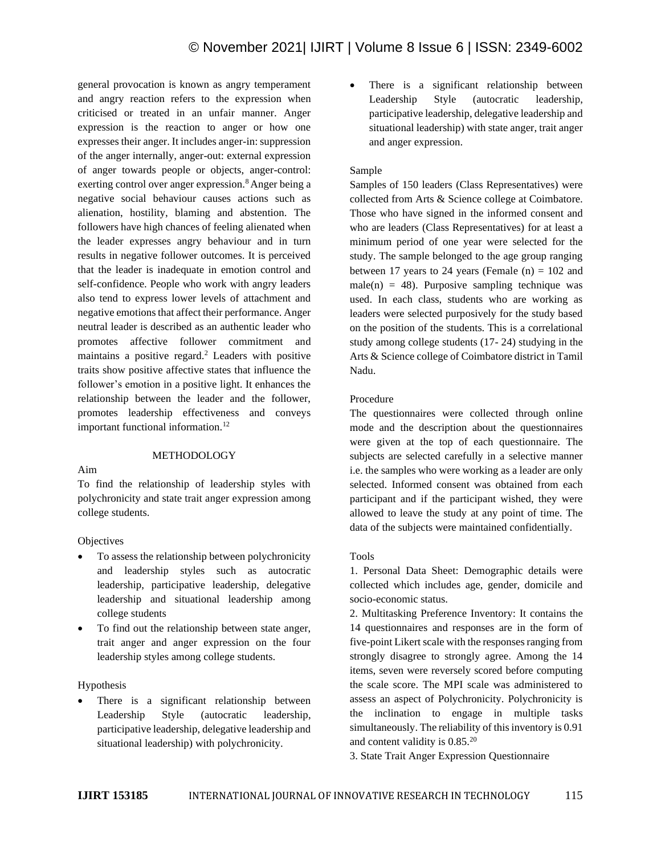general provocation is known as angry temperament and angry reaction refers to the expression when criticised or treated in an unfair manner. Anger expression is the reaction to anger or how one expresses their anger. It includes anger-in: suppression of the anger internally, anger-out: external expression of anger towards people or objects, anger-control: exerting control over anger expression.<sup>8</sup> Anger being a negative social behaviour causes actions such as alienation, hostility, blaming and abstention. The followers have high chances of feeling alienated when the leader expresses angry behaviour and in turn results in negative follower outcomes. It is perceived that the leader is inadequate in emotion control and self-confidence. People who work with angry leaders also tend to express lower levels of attachment and negative emotions that affect their performance. Anger neutral leader is described as an authentic leader who promotes affective follower commitment and maintains a positive regard.<sup>2</sup> Leaders with positive traits show positive affective states that influence the follower's emotion in a positive light. It enhances the relationship between the leader and the follower, promotes leadership effectiveness and conveys important functional information.<sup>12</sup>

## METHODOLOGY

Aim

To find the relationship of leadership styles with polychronicity and state trait anger expression among college students.

**Objectives** 

- To assess the relationship between polychronicity and leadership styles such as autocratic leadership, participative leadership, delegative leadership and situational leadership among college students
- To find out the relationship between state anger, trait anger and anger expression on the four leadership styles among college students.

## Hypothesis

There is a significant relationship between Leadership Style (autocratic leadership, participative leadership, delegative leadership and situational leadership) with polychronicity.

• There is a significant relationship between Leadership Style (autocratic leadership, participative leadership, delegative leadership and situational leadership) with state anger, trait anger and anger expression.

## Sample

Samples of 150 leaders (Class Representatives) were collected from Arts & Science college at Coimbatore. Those who have signed in the informed consent and who are leaders (Class Representatives) for at least a minimum period of one year were selected for the study. The sample belonged to the age group ranging between 17 years to 24 years (Female  $(n) = 102$  and male(n) = 48). Purposive sampling technique was used. In each class, students who are working as leaders were selected purposively for the study based on the position of the students. This is a correlational study among college students (17- 24) studying in the Arts & Science college of Coimbatore district in Tamil Nadu.

## Procedure

The questionnaires were collected through online mode and the description about the questionnaires were given at the top of each questionnaire. The subjects are selected carefully in a selective manner i.e. the samples who were working as a leader are only selected. Informed consent was obtained from each participant and if the participant wished, they were allowed to leave the study at any point of time. The data of the subjects were maintained confidentially.

## Tools

1. Personal Data Sheet: Demographic details were collected which includes age, gender, domicile and socio-economic status.

2. Multitasking Preference Inventory: It contains the 14 questionnaires and responses are in the form of five-point Likert scale with the responses ranging from strongly disagree to strongly agree. Among the 14 items, seven were reversely scored before computing the scale score. The MPI scale was administered to assess an aspect of Polychronicity. Polychronicity is the inclination to engage in multiple tasks simultaneously. The reliability of this inventory is 0.91 and content validity is 0.85.<sup>20</sup>

3. State Trait Anger Expression Questionnaire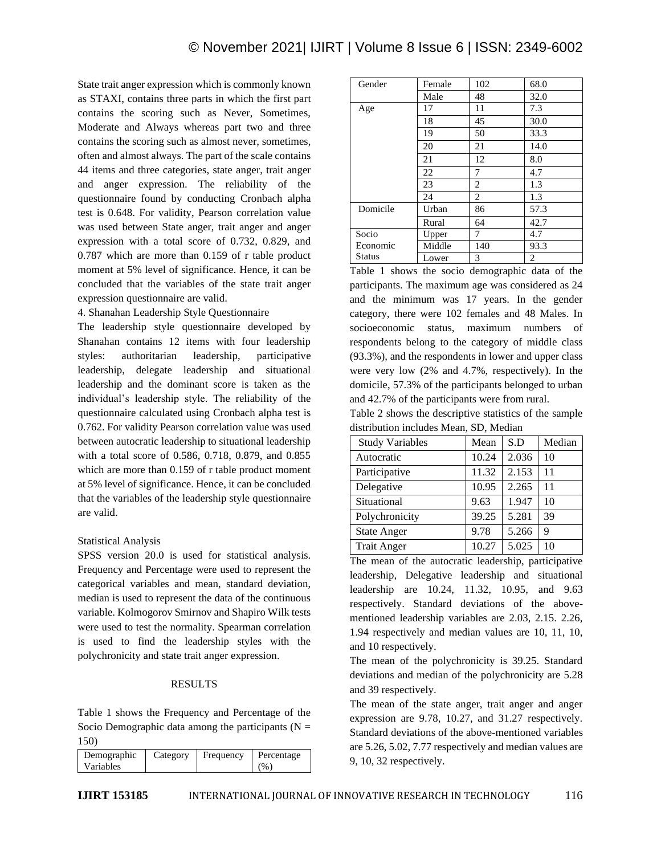State trait anger expression which is commonly known as STAXI, contains three parts in which the first part contains the scoring such as Never, Sometimes, Moderate and Always whereas part two and three contains the scoring such as almost never, sometimes, often and almost always. The part of the scale contains 44 items and three categories, state anger, trait anger and anger expression. The reliability of the questionnaire found by conducting Cronbach alpha test is 0.648. For validity, Pearson correlation value was used between State anger, trait anger and anger expression with a total score of 0.732, 0.829, and 0.787 which are more than 0.159 of r table product moment at 5% level of significance. Hence, it can be concluded that the variables of the state trait anger expression questionnaire are valid.

## 4. Shanahan Leadership Style Questionnaire

The leadership style questionnaire developed by Shanahan contains 12 items with four leadership styles: authoritarian leadership, participative leadership, delegate leadership and situational leadership and the dominant score is taken as the individual's leadership style. The reliability of the questionnaire calculated using Cronbach alpha test is 0.762. For validity Pearson correlation value was used between autocratic leadership to situational leadership with a total score of 0.586, 0.718, 0.879, and 0.855 which are more than 0.159 of r table product moment at 5% level of significance. Hence, it can be concluded that the variables of the leadership style questionnaire are valid.

## Statistical Analysis

SPSS version 20.0 is used for statistical analysis. Frequency and Percentage were used to represent the categorical variables and mean, standard deviation, median is used to represent the data of the continuous variable. Kolmogorov Smirnov and Shapiro Wilk tests were used to test the normality. Spearman correlation is used to find the leadership styles with the polychronicity and state trait anger expression.

## RESULTS

Table 1 shows the Frequency and Percentage of the Socio Demographic data among the participants ( $N =$ 150)

| Demographic<br>Category<br>Variables | Frequency | Percentage<br>$\%$ |
|--------------------------------------|-----------|--------------------|
|--------------------------------------|-----------|--------------------|

| Gender        | Female | 102 | 68.0 |
|---------------|--------|-----|------|
|               | Male   | 48  | 32.0 |
| Age           | 17     | 11  | 7.3  |
|               | 18     | 45  | 30.0 |
|               | 19     | 50  | 33.3 |
|               | 20     | 21  | 14.0 |
|               | 21     | 12  | 8.0  |
|               | 22     | 7   | 4.7  |
|               | 23     | 2   | 1.3  |
|               | 24     | 2   | 1.3  |
| Domicile      | Urban  | 86  | 57.3 |
|               | Rural  | 64  | 42.7 |
| Socio         | Upper  | 7   | 4.7  |
| Economic      | Middle | 140 | 93.3 |
| <b>Status</b> | Lower  | 3   | 2    |

Table 1 shows the socio demographic data of the participants. The maximum age was considered as 24 and the minimum was 17 years. In the gender category, there were 102 females and 48 Males. In socioeconomic status, maximum numbers of respondents belong to the category of middle class (93.3%), and the respondents in lower and upper class were very low (2% and 4.7%, respectively). In the domicile, 57.3% of the participants belonged to urban and 42.7% of the participants were from rural.

Table 2 shows the descriptive statistics of the sample distribution includes Mean, SD, Median

| <b>Study Variables</b> | Mean  | S.D   | Median |
|------------------------|-------|-------|--------|
| Autocratic             | 10.24 | 2.036 | 10     |
| Participative          | 11.32 | 2.153 | 11     |
| Delegative             | 10.95 | 2.265 | 11     |
| Situational            | 9.63  | 1.947 | 10     |
| Polychronicity         | 39.25 | 5.281 | 39     |
| <b>State Anger</b>     | 9.78  | 5.266 | 9      |
| <b>Trait Anger</b>     | 10.27 | 5.025 | 10     |

The mean of the autocratic leadership, participative leadership, Delegative leadership and situational leadership are 10.24, 11.32, 10.95, and 9.63 respectively. Standard deviations of the abovementioned leadership variables are 2.03, 2.15. 2.26, 1.94 respectively and median values are 10, 11, 10, and 10 respectively.

The mean of the polychronicity is 39.25. Standard deviations and median of the polychronicity are 5.28 and 39 respectively.

The mean of the state anger, trait anger and anger expression are 9.78, 10.27, and 31.27 respectively. Standard deviations of the above-mentioned variables are 5.26, 5.02, 7.77 respectively and median values are 9, 10, 32 respectively.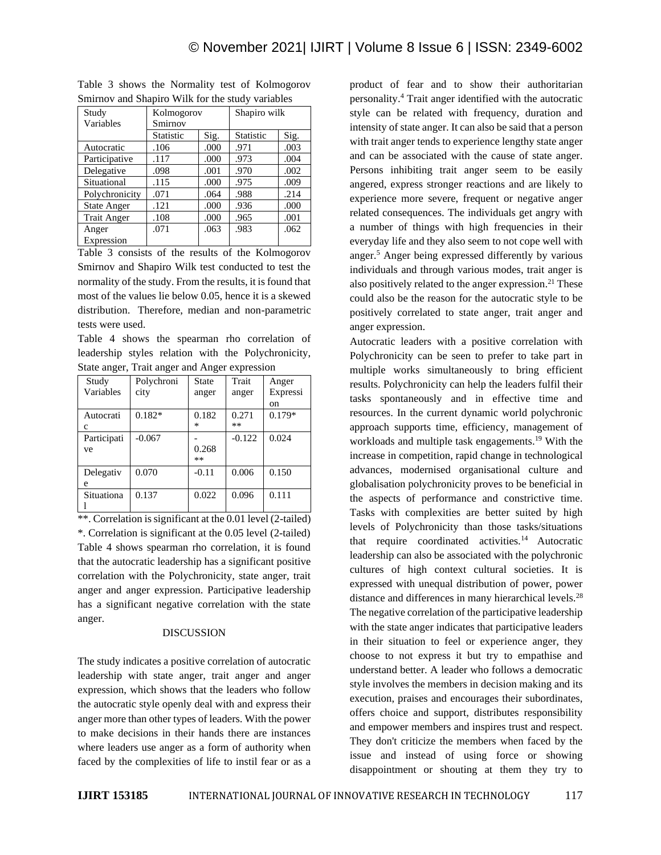| Study<br>Variables | Kolmogorov<br>Smirnov |       | Shapiro wilk |      |
|--------------------|-----------------------|-------|--------------|------|
|                    | Statistic             | Sig.  | Statistic    | Sig. |
| Autocratic         | .106                  | .000  | .971         | .003 |
| Participative      | .117                  | .000  | .973         | .004 |
| Delegative         | .098                  | .001  | .970         | .002 |
| Situational        | .115                  | .000. | .975         | .009 |
| Polychronicity     | .071                  | .064  | .988         | .214 |
| <b>State Anger</b> | .121                  | .000  | .936         | .000 |
| <b>Trait Anger</b> | .108                  | .000  | .965         | .001 |
| Anger              | .071                  | .063  | .983         | .062 |
| Expression         |                       |       |              |      |

Table 3 shows the Normality test of Kolmogorov  $S_{\text{max}}$  smirnov and  $S_{\text{max}}$   $S_{\text{max}}$  in the study variables  $S_{\text{max}}$ 

Table 3 consists of the results of the Kolmogorov Smirnov and Shapiro Wilk test conducted to test the normality of the study. From the results, it is found that most of the values lie below 0.05, hence it is a skewed distribution. Therefore, median and non-parametric tests were used.

Table 4 shows the spearman rho correlation of leadership styles relation with the Polychronicity, State anger, Trait anger and Anger expression

| Study       | Polychroni | <b>State</b> | Trait    | Anger    |
|-------------|------------|--------------|----------|----------|
| Variables   | city       | anger        | anger    | Expressi |
|             |            |              |          | on       |
| Autocrati   | $0.182*$   | 0.182        | 0.271    | $0.179*$ |
| c           |            | ∗            | **       |          |
| Participati | $-0.067$   |              | $-0.122$ | 0.024    |
| ve          |            | 0.268        |          |          |
|             |            | $***$        |          |          |
| Delegativ   | 0.070      | $-0.11$      | 0.006    | 0.150    |
| e           |            |              |          |          |
| Situationa  | 0.137      | 0.022        | 0.096    | 0.111    |
|             |            |              |          |          |

\*\*. Correlation is significant at the 0.01 level (2-tailed) \*. Correlation is significant at the 0.05 level (2-tailed) Table 4 shows spearman rho correlation, it is found that the autocratic leadership has a significant positive correlation with the Polychronicity, state anger, trait anger and anger expression. Participative leadership has a significant negative correlation with the state anger.

## DISCUSSION

The study indicates a positive correlation of autocratic leadership with state anger, trait anger and anger expression, which shows that the leaders who follow the autocratic style openly deal with and express their anger more than other types of leaders. With the power to make decisions in their hands there are instances where leaders use anger as a form of authority when faced by the complexities of life to instil fear or as a product of fear and to show their authoritarian personality. <sup>4</sup> Trait anger identified with the autocratic style can be related with frequency, duration and intensity of state anger. It can also be said that a person with trait anger tends to experience lengthy state anger and can be associated with the cause of state anger. Persons inhibiting trait anger seem to be easily angered, express stronger reactions and are likely to experience more severe, frequent or negative anger related consequences. The individuals get angry with a number of things with high frequencies in their everyday life and they also seem to not cope well with anger.<sup>5</sup> Anger being expressed differently by various individuals and through various modes, trait anger is also positively related to the anger expression. $21$  These could also be the reason for the autocratic style to be positively correlated to state anger, trait anger and anger expression.

Autocratic leaders with a positive correlation with Polychronicity can be seen to prefer to take part in multiple works simultaneously to bring efficient results. Polychronicity can help the leaders fulfil their tasks spontaneously and in effective time and resources. In the current dynamic world polychronic approach supports time, efficiency, management of workloads and multiple task engagements. <sup>19</sup> With the increase in competition, rapid change in technological advances, modernised organisational culture and globalisation polychronicity proves to be beneficial in the aspects of performance and constrictive time. Tasks with complexities are better suited by high levels of Polychronicity than those tasks/situations that require coordinated activities.<sup>14</sup> Autocratic leadership can also be associated with the polychronic cultures of high context cultural societies. It is expressed with unequal distribution of power, power distance and differences in many hierarchical levels.<sup>28</sup> The negative correlation of the participative leadership with the state anger indicates that participative leaders in their situation to feel or experience anger, they choose to not express it but try to empathise and understand better. A leader who follows a democratic style involves the members in decision making and its execution, praises and encourages their subordinates, offers choice and support, distributes responsibility and empower members and inspires trust and respect. They don't criticize the members when faced by the issue and instead of using force or showing disappointment or shouting at them they try to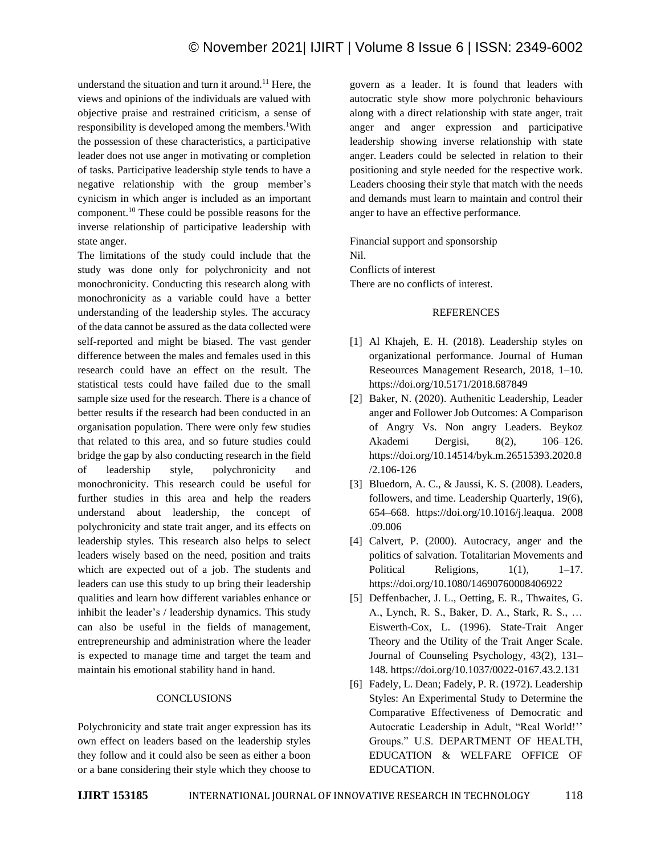understand the situation and turn it around.<sup>11</sup> Here, the views and opinions of the individuals are valued with objective praise and restrained criticism, a sense of responsibility is developed among the members.<sup>1</sup>With the possession of these characteristics, a participative leader does not use anger in motivating or completion of tasks. Participative leadership style tends to have a negative relationship with the group member's cynicism in which anger is included as an important component.<sup>10</sup> These could be possible reasons for the inverse relationship of participative leadership with state anger.

The limitations of the study could include that the study was done only for polychronicity and not monochronicity. Conducting this research along with monochronicity as a variable could have a better understanding of the leadership styles. The accuracy of the data cannot be assured as the data collected were self-reported and might be biased. The vast gender difference between the males and females used in this research could have an effect on the result. The statistical tests could have failed due to the small sample size used for the research. There is a chance of better results if the research had been conducted in an organisation population. There were only few studies that related to this area, and so future studies could bridge the gap by also conducting research in the field of leadership style, polychronicity and monochronicity. This research could be useful for further studies in this area and help the readers understand about leadership, the concept of polychronicity and state trait anger, and its effects on leadership styles. This research also helps to select leaders wisely based on the need, position and traits which are expected out of a job. The students and leaders can use this study to up bring their leadership qualities and learn how different variables enhance or inhibit the leader's / leadership dynamics. This study can also be useful in the fields of management, entrepreneurship and administration where the leader is expected to manage time and target the team and maintain his emotional stability hand in hand.

## **CONCLUSIONS**

Polychronicity and state trait anger expression has its own effect on leaders based on the leadership styles they follow and it could also be seen as either a boon or a bane considering their style which they choose to govern as a leader. It is found that leaders with autocratic style show more polychronic behaviours along with a direct relationship with state anger, trait anger and anger expression and participative leadership showing inverse relationship with state anger. Leaders could be selected in relation to their positioning and style needed for the respective work. Leaders choosing their style that match with the needs and demands must learn to maintain and control their anger to have an effective performance.

Financial support and sponsorship Nil. Conflicts of interest There are no conflicts of interest.

#### REFERENCES

- [1] Al Khajeh, E. H. (2018). Leadership styles on organizational performance. Journal of Human Reseources Management Research, 2018, 1–10. https://doi.org/10.5171/2018.687849
- [2] Baker, N. (2020). Authenitic Leadership, Leader anger and Follower Job Outcomes: A Comparison of Angry Vs. Non angry Leaders. Beykoz Akademi Dergisi, 8(2), 106–126. https://doi.org/10.14514/byk.m.26515393.2020.8 /2.106-126
- [3] Bluedorn, A. C., & Jaussi, K. S. (2008). Leaders, followers, and time. Leadership Quarterly, 19(6), 654–668. https://doi.org/10.1016/j.leaqua. 2008 .09.006
- [4] Calvert, P. (2000). Autocracy, anger and the politics of salvation. Totalitarian Movements and Political Religions, 1(1), 1–17. https://doi.org/10.1080/14690760008406922
- [5] Deffenbacher, J. L., Oetting, E. R., Thwaites, G. A., Lynch, R. S., Baker, D. A., Stark, R. S., … Eiswerth-Cox, L. (1996). State-Trait Anger Theory and the Utility of the Trait Anger Scale. Journal of Counseling Psychology, 43(2), 131– 148. https://doi.org/10.1037/0022-0167.43.2.131
- [6] Fadely, L. Dean; Fadely, P. R. (1972). Leadership Styles: An Experimental Study to Determine the Comparative Effectiveness of Democratic and Autocratic Leadership in Adult, "Real World!'' Groups." U.S. DEPARTMENT OF HEALTH, EDUCATION & WELFARE OFFICE OF EDUCATION.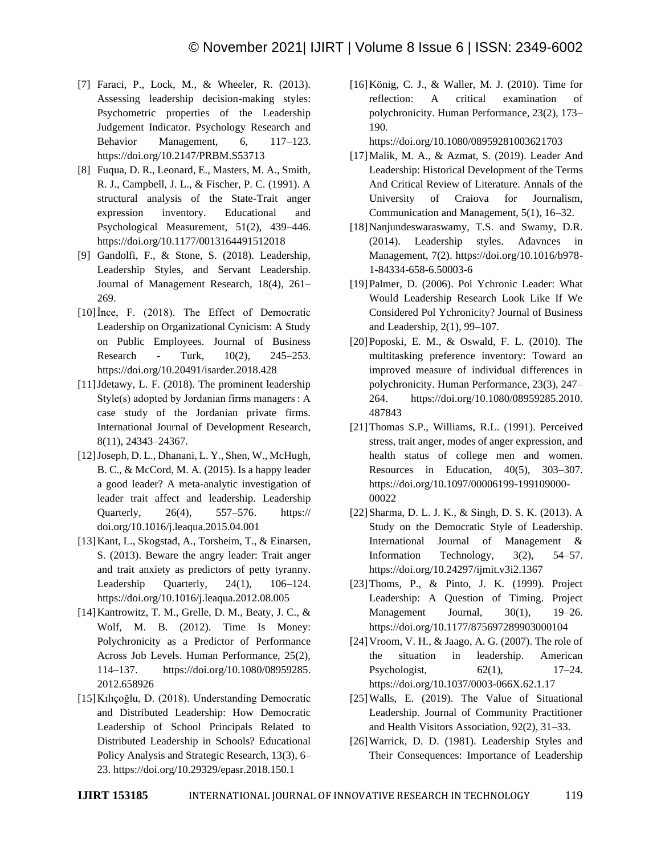- [7] Faraci, P., Lock, M., & Wheeler, R. (2013). Assessing leadership decision-making styles: Psychometric properties of the Leadership Judgement Indicator. Psychology Research and Behavior Management, 6, 117–123. https://doi.org/10.2147/PRBM.S53713
- [8] Fuqua, D. R., Leonard, E., Masters, M. A., Smith, R. J., Campbell, J. L., & Fischer, P. C. (1991). A structural analysis of the State-Trait anger expression inventory. Educational and Psychological Measurement, 51(2), 439–446. https://doi.org/10.1177/0013164491512018
- [9] Gandolfi, F., & Stone, S. (2018). Leadership, Leadership Styles, and Servant Leadership. Journal of Management Research, 18(4), 261– 269.
- [10]İnce, F. (2018). The Effect of Democratic Leadership on Organizational Cynicism: A Study on Public Employees. Journal of Business Research - Turk, 10(2), 245–253. https://doi.org/10.20491/isarder.2018.428
- [11] Jdetawy, L. F. (2018). The prominent leadership Style(s) adopted by Jordanian firms managers : A case study of the Jordanian private firms. International Journal of Development Research, 8(11), 24343–24367.
- [12]Joseph, D. L., Dhanani, L. Y., Shen, W., McHugh, B. C., & McCord, M. A. (2015). Is a happy leader a good leader? A meta-analytic investigation of leader trait affect and leadership. Leadership Quarterly, 26(4), 557–576. https:// doi.org/10.1016/j.leaqua.2015.04.001
- [13]Kant, L., Skogstad, A., Torsheim, T., & Einarsen, S. (2013). Beware the angry leader: Trait anger and trait anxiety as predictors of petty tyranny. Leadership Quarterly,  $24(1)$ ,  $106-124$ . https://doi.org/10.1016/j.leaqua.2012.08.005
- [14]Kantrowitz, T. M., Grelle, D. M., Beaty, J. C., & Wolf, M. B. (2012). Time Is Money: Polychronicity as a Predictor of Performance Across Job Levels. Human Performance, 25(2), 114–137. https://doi.org/10.1080/08959285. 2012.658926
- [15]Kılıçoğlu, D. (2018). Understanding Democratic and Distributed Leadership: How Democratic Leadership of School Principals Related to Distributed Leadership in Schools? Educational Policy Analysis and Strategic Research, 13(3), 6– 23. https://doi.org/10.29329/epasr.2018.150.1

[16]König, C. J., & Waller, M. J. (2010). Time for reflection: A critical examination of polychronicity. Human Performance, 23(2), 173– 190.

https://doi.org/10.1080/08959281003621703

- [17]Malik, M. A., & Azmat, S. (2019). Leader And Leadership: Historical Development of the Terms And Critical Review of Literature. Annals of the University of Craiova for Journalism, Communication and Management, 5(1), 16–32.
- [18] Nanjundeswaraswamy, T.S. and Swamy, D.R. (2014). Leadership styles. Adavnces in Management, 7(2). https://doi.org/10.1016/b978- 1-84334-658-6.50003-6
- [19]Palmer, D. (2006). Pol Ychronic Leader: What Would Leadership Research Look Like If We Considered Pol Ychronicity? Journal of Business and Leadership, 2(1), 99–107.
- [20]Poposki, E. M., & Oswald, F. L. (2010). The multitasking preference inventory: Toward an improved measure of individual differences in polychronicity. Human Performance, 23(3), 247– 264. https://doi.org/10.1080/08959285.2010. 487843
- [21]Thomas S.P., Williams, R.L. (1991). Perceived stress, trait anger, modes of anger expression, and health status of college men and women. Resources in Education, 40(5), 303–307. https://doi.org/10.1097/00006199-199109000- 00022
- [22]Sharma, D. L. J. K., & Singh, D. S. K. (2013). A Study on the Democratic Style of Leadership. International Journal of Management & Information Technology, 3(2), 54–57. https://doi.org/10.24297/ijmit.v3i2.1367
- [23] Thoms, P., & Pinto, J. K. (1999). Project Leadership: A Question of Timing. Project Management Journal, 30(1), 19–26. https://doi.org/10.1177/875697289903000104
- [24]Vroom, V. H., & Jaago, A. G. (2007). The role of the situation in leadership. American Psychologist,  $62(1)$ ,  $17-24$ . https://doi.org/10.1037/0003-066X.62.1.17
- [25]Walls, E. (2019). The Value of Situational Leadership. Journal of Community Practitioner and Health Visitors Association, 92(2), 31–33.
- [26]Warrick, D. D. (1981). Leadership Styles and Their Consequences: Importance of Leadership